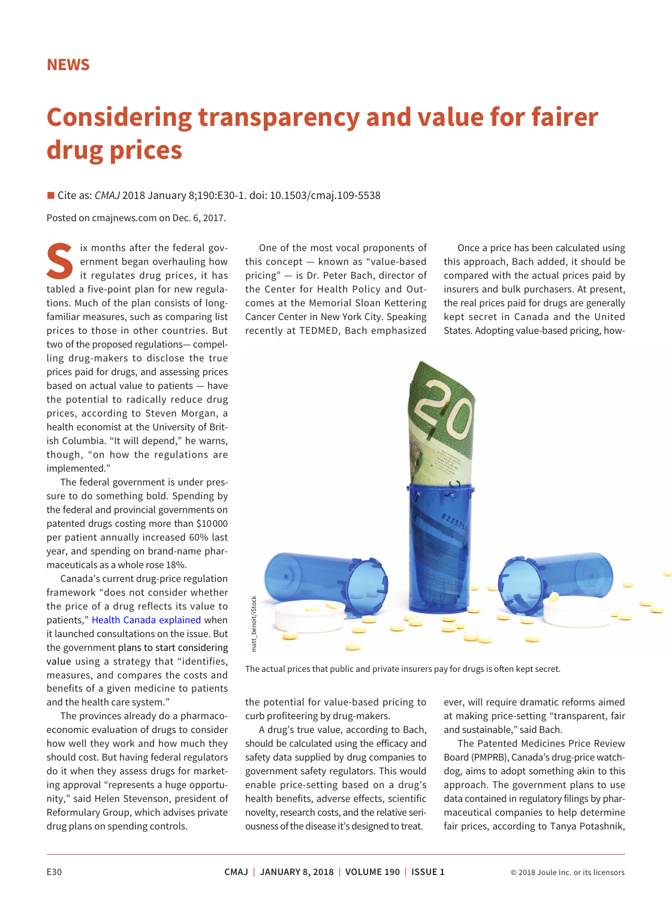## **Considering transparency and value for fairer drug prices**

■ Cite as: *CMAJ* 2018 January 8;190:E30-1. doi: 10.1503/cmaj.109-5538

Posted on cmajnews.com on Dec. 6, 2017.

ix months after the federal government began overhauling how it regulates drug prices, it has tabled a five-point plan for new regulations. Much of the plan consists of longfamiliar measures, such as comparing list prices to those in other countries. But two of the proposed regulations— compelling drug-makers to disclose the true prices paid for drugs, and assessing prices based on actual value to patients — have the potential to radically reduce drug prices, according to Steven Morgan, a health economist at the University of British Columbia. "It will depend," he warns, though, "on how the regulations are implemented."

The federal government is under pressure to do something bold. Spending by the federal and provincial governments on patented drugs costing more than \$10 000 per patient annually increased 60% last year, and spending on brand-name pharmaceuticals as a whole rose 18%.

Canada's current drug-price regulation framework "does not consider whether the price of a drug reflects its value to patients," [Health Canada explained](https://www.canada.ca/en/health-canada/programs/consultation-regulations-patented-medicine/document.html) when it launched consultations on the issue. But the government plans to start considering value using a strategy that "identifies, measures, and compares the costs and benefits of a given medicine to patients and the health care system."

The provinces already do a pharmacoeconomic evaluation of drugs to consider how well they work and how much they should cost. But having federal regulators do it when they assess drugs for marketing approval "represents a huge opportunity," said Helen Stevenson, president of Reformulary Group, which advises private drug plans on spending controls.

One of the most vocal proponents of this concept — known as "value-based pricing" — is Dr. Peter Bach, director of the Center for Health Policy and Outcomes at the Memorial Sloan Kettering Cancer Center in New York City. Speaking recently at TEDMED, Bach emphasized

Once a price has been calculated using this approach, Bach added, it should be compared with the actual prices paid by insurers and bulk purchasers. At present, the real prices paid for drugs are generally kept secret in Canada and the United States. Adopting value-based pricing, how-



the potential for value-based pricing to curb profiteering by drug-makers.

A drug's true value, according to Bach, should be calculated using the efficacy and safety data supplied by drug companies to government safety regulators. This would enable price-setting based on a drug's health benefits, adverse effects, scientific novelty, research costs, and the relative seriousness of the disease it's designed to treat.

ever, will require dramatic reforms aimed at making price-setting "transparent, fair and sustainable," said Bach.

The Patented Medicines Price Review Board (PMPRB), Canada's drug-price watchdog, aims to adopt something akin to this approach. The government plans to use data contained in regulatory filings by pharmaceutical companies to help determine fair prices, according to Tanya Potashnik,